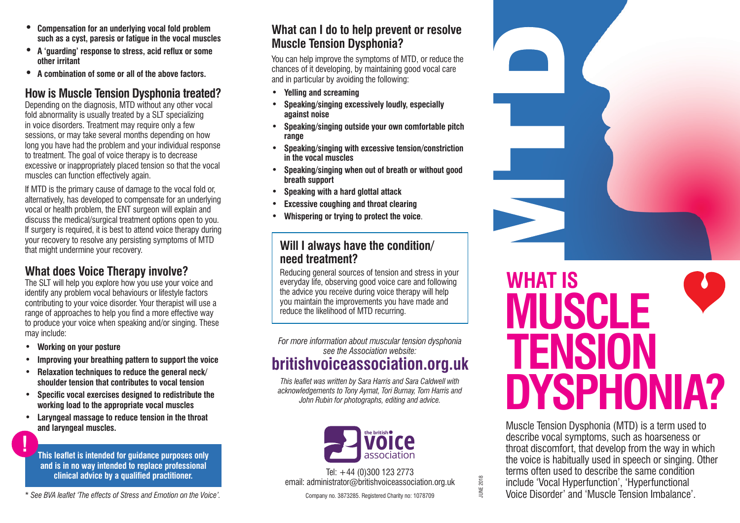- **• Compensation for an underlying vocal fold problem such as a cyst, paresis or fatigue in the vocal muscles**
- **• A 'guarding' response to stress, acid reflux or some other irritant**
- **• A combination of some or all of the above factors.**

## **How is Muscle Tension Dysphonia treated?**

Depending on the diagnosis, MTD without any other vocal fold abnormality is usually treated by a SLT specializing in voice disorders. Treatment may require only a few sessions, or may take several months depending on how long you have had the problem and your individual response to treatment. The goal of voice therapy is to decrease excessive or inappropriately placed tension so that the vocal muscles can function effectively again.

If MTD is the primary cause of damage to the vocal fold or, alternatively, has developed to compensate for an underlying vocal or health problem, the ENT surgeon will explain and discuss the medical/surgical treatment options open to you. If surgery is required, it is best to attend voice therapy during your recovery to resolve any persisting symptoms of MTD that might undermine your recovery.

## **What does Voice Therapy involve?**

The SLT will help you explore how you use your voice and identify any problem vocal behaviours or lifestyle factors contributing to your voice disorder. Your therapist will use a range of approaches to help you find a more effective way to produce your voice when speaking and/or singing. These may include:

**• Working on your posture**

**!**

- **• Improving your breathing pattern to support the voice**
- **• Relaxation techniques to reduce the general neck/ shoulder tension that contributes to vocal tension**
- **• Specific vocal exercises designed to redistribute the working load to the appropriate vocal muscles**
- **• Laryngeal massage to reduce tension in the throat and laryngeal muscles.**

**This leaflet is intended for guidance purposes only and is in no way intended to replace professional clinical advice by a qualified practitioner.**

\* *See BVA leaflet 'The effects of Stress and Emotion on the Voice'.*

## **What can I do to help prevent or resolve Muscle Tension Dysphonia?**

You can help improve the symptoms of MTD, or reduce the chances of it developing, by maintaining good vocal care and in particular by avoiding the following:

- **• Yelling and screaming**
- **• Speaking/singing excessively loudly, especially against noise**
- **• Speaking/singing outside your own comfortable pitch range**
- **• Speaking/singing with excessive tension/constriction in the vocal muscles**
- **• Speaking/singing when out of breath or without good breath support**
- **• Speaking with a hard glottal attack**
- **Excessive coughing and throat clearing**
- **• Whispering or trying to protect the voice**.

### **Will I always have the condition/ need treatment?**

Reducing general sources of tension and stress in your everyday life, observing good voice care and following the advice you receive during voice therapy will help you maintain the improvements you have made and reduce the likelihood of MTD recurring.

*For more information about muscular tension dysphonia see the Association website:*

# **britishvoiceassociation.org.uk**

*This leaflet was written by Sara Harris and Sara Caldwell with acknowledgements to Tony Aymat, Tori Burnay, Tom Harris and John Rubin for photographs, editing and advice.*



Tel: +44 (0)300 123 2773 email: administrator@britishvoiceassociation.org.uk

Company no. 3873285. Registered Charity no: 1078709



# **WHAT IS MUSCLE TENSION DYSPHONIA?**

Muscle Tension Dysphonia (MTD) is a term used to describe vocal symptoms, such as hoarseness or throat discomfort, that develop from the way in which the voice is habitually used in speech or singing. Other terms often used to describe the same condition include 'Vocal Hyperfunction', 'Hyperfunctional Voice Disorder' and 'Muscle Tension Imbalance'.

**UNE 2018** JUNE 2018